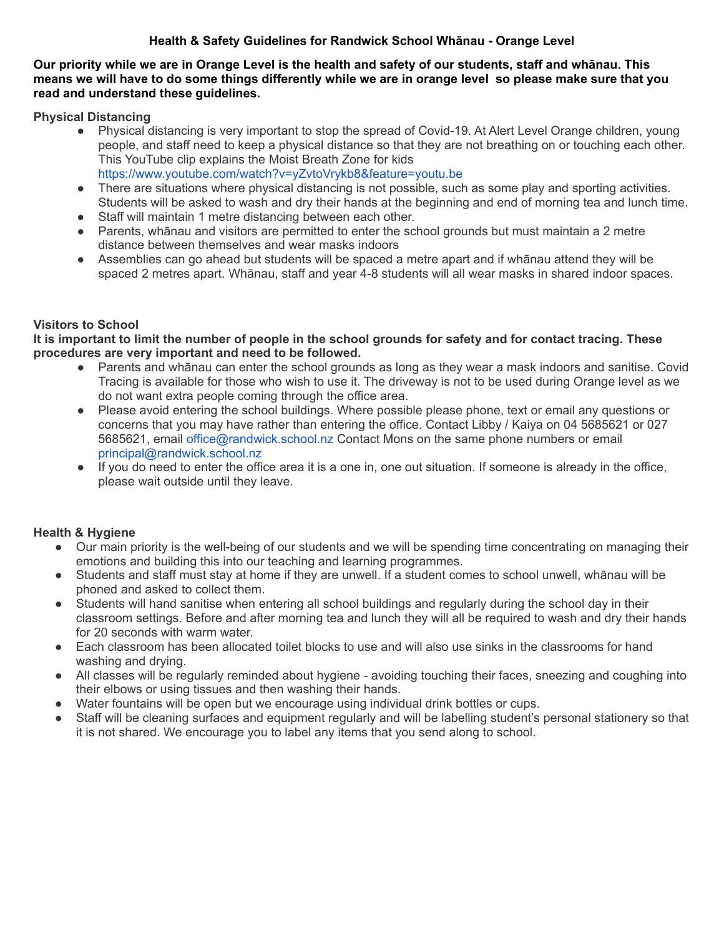## **Health & Safety Guidelines for Randwick School Whānau - Orange Level**

**Our priority while we are in Orange Level is the health and safety of our students, staff and whānau. This means we will have to do some things differently while we are in orange level so please make sure that you read and understand these guidelines.**

**Physical Distancing**

- Physical distancing is very important to stop the spread of Covid-19. At Alert Level Orange children, young people, and staff need to keep a physical distance so that they are not breathing on or touching each other. This YouTube clip explains the Moist Breath Zone for kids <https://www.youtube.com/watch?v=yZvtoVrykb8&feature=youtu.be>
- There are situations where physical distancing is not possible, such as some play and sporting activities. Students will be asked to wash and dry their hands at the beginning and end of morning tea and lunch time.
- Staff will maintain 1 metre distancing between each other.
- Parents, whānau and visitors are permitted to enter the school grounds but must maintain a 2 metre distance between themselves and wear masks indoors
- Assemblies can go ahead but students will be spaced a metre apart and if whānau attend they will be spaced 2 metres apart. Whānau, staff and year 4-8 students will all wear masks in shared indoor spaces.

## **Visitors to School**

**It is important to limit the number of people in the school grounds for safety and for contact tracing. These procedures are very important and need to be followed.**

- Parents and whānau can enter the school grounds as long as they wear a mask indoors and sanitise. Covid Tracing is available for those who wish to use it. The driveway is not to be used during Orange level as we do not want extra people coming through the office area.
- Please avoid entering the school buildings. Where possible please phone, text or email any questions or concerns that you may have rather than entering the office. Contact Libby / Kaiya on 04 5685621 or 027 5685621, email office@randwick.school.nz Contact Mons on the same phone numbers or email principal@randwick.school.nz
- If you do need to enter the office area it is a one in, one out situation. If someone is already in the office, please wait outside until they leave.

## **Health & Hygiene**

- Our main priority is the well-being of our students and we will be spending time concentrating on managing their emotions and building this into our teaching and learning programmes.
- Students and staff must stay at home if they are unwell. If a student comes to school unwell, whānau will be phoned and asked to collect them.
- Students will hand sanitise when entering all school buildings and regularly during the school day in their classroom settings. Before and after morning tea and lunch they will all be required to wash and dry their hands for 20 seconds with warm water.
- Each classroom has been allocated toilet blocks to use and will also use sinks in the classrooms for hand washing and drying.
- All classes will be regularly reminded about hygiene avoiding touching their faces, sneezing and coughing into their elbows or using tissues and then washing their hands.
- Water fountains will be open but we encourage using individual drink bottles or cups.
- Staff will be cleaning surfaces and equipment regularly and will be labelling student's personal stationery so that it is not shared. We encourage you to label any items that you send along to school.